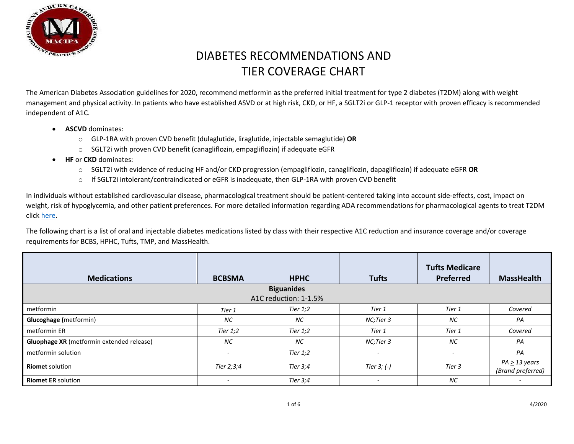

The American Diabetes Association guidelines for 2020, recommend metformin as the preferred initial treatment for type 2 diabetes (T2DM) along with weight management and physical activity. In patients who have established ASVD or at high risk, CKD, or HF, a SGLT2i or GLP-1 receptor with proven efficacy is recommended independent of A1C.

- **ASCVD** dominates:
	- o GLP-1RA with proven CVD benefit (dulaglutide, liraglutide, injectable semaglutide) **OR**
	- o SGLT2i with proven CVD benefit (canagliflozin, empagliflozin) if adequate eGFR
- **HF** or **CKD** dominates:
	- o SGLT2i with evidence of reducing HF and/or CKD progression (empagliflozin, canagliflozin, dapagliflozin) if adequate eGFR **OR**
	- o If SGLT2i intolerant/contraindicated or eGFR is inadequate, then GLP-1RA with proven CVD benefit

In individuals without established cardiovascular disease, pharmacological treatment should be patient-centered taking into account side-effects, cost, impact on weight, risk of hypoglycemia, and other patient preferences. For more detailed information regarding ADA recommendations for pharmacological agents to treat T2DM click [here.](https://care.diabetesjournals.org/content/diacare/43/Supplement_1/S98.full.pdf)

The following chart is a list of oral and injectable diabetes medications listed by class with their respective A1C reduction and insurance coverage and/or coverage requirements for BCBS, HPHC, Tufts, TMP, and MassHealth.

| <b>Medications</b>                        | <b>BCBSMA</b> | <b>HPHC</b> | <b>Tufts</b>             | <b>Tufts Medicare</b><br><b>Preferred</b> | <b>MassHealth</b>                       |  |  |
|-------------------------------------------|---------------|-------------|--------------------------|-------------------------------------------|-----------------------------------------|--|--|
| <b>Biguanides</b>                         |               |             |                          |                                           |                                         |  |  |
| A1C reduction: 1-1.5%                     |               |             |                          |                                           |                                         |  |  |
| metformin                                 | Tier 1        | Tier $1,2$  | Tier 1                   | Tier 1                                    | Covered                                 |  |  |
| <b>Glucoghage</b> (metformin)             | <b>NC</b>     | NC.         | NC;Tier 3                | <b>NC</b>                                 | PA                                      |  |  |
| metformin ER                              | Tier $1,2$    | Tier $1,2$  | Tier 1                   | Tier 1                                    | Covered                                 |  |  |
| Gluophage XR (metformin extended release) | <b>NC</b>     | NC.         | NC;Tier 3                | <b>NC</b>                                 | PA                                      |  |  |
| metformin solution                        |               | Tier $1,2$  | $\overline{\phantom{a}}$ |                                           | PA                                      |  |  |
| <b>Riomet solution</b>                    | Tier 2;3;4    | Tier 3;4    | Tier $3; (-)$            | Tier 3                                    | $PA \geq 13$ years<br>(Brand preferred) |  |  |
| <b>Riomet ER solution</b>                 |               | Tier 3;4    | $\overline{\phantom{a}}$ | <b>NC</b>                                 |                                         |  |  |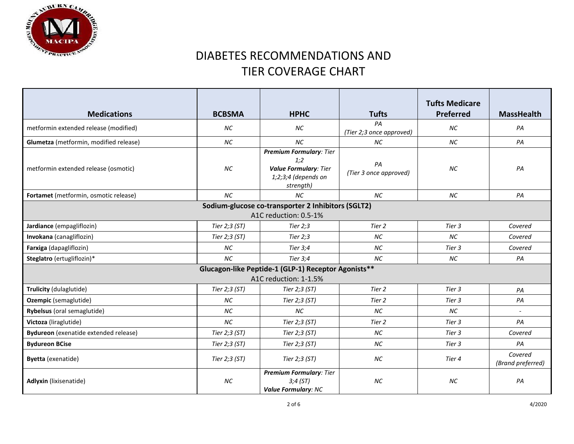

| <b>Medications</b>                                                           | <b>BCBSMA</b> | <b>HPHC</b>                                                                                                 | <b>Tufts</b>                   | <b>Tufts Medicare</b><br><b>Preferred</b> | <b>MassHealth</b>            |  |
|------------------------------------------------------------------------------|---------------|-------------------------------------------------------------------------------------------------------------|--------------------------------|-------------------------------------------|------------------------------|--|
| metformin extended release (modified)                                        | <b>NC</b>     | <b>NC</b>                                                                                                   | PA<br>(Tier 2;3 once approved) | <b>NC</b>                                 | PA                           |  |
| Glumetza (metformin, modified release)                                       | <b>NC</b>     | <b>NC</b>                                                                                                   | <b>NC</b>                      | NC                                        | PA                           |  |
| metformin extended release (osmotic)                                         | <b>NC</b>     | <b>Premium Formulary: Tier</b><br>1:2<br><b>Value Formulary: Tier</b><br>$1;2;3;4$ (depends on<br>strength) | PA<br>(Tier 3 once approved)   | <b>NC</b>                                 | PA                           |  |
| Fortamet (metformin, osmotic release)                                        | <b>NC</b>     | <b>NC</b>                                                                                                   | NC                             | NC                                        | PA                           |  |
| Sodium-glucose co-transporter 2 Inhibitors (SGLT2)<br>A1C reduction: 0.5-1%  |               |                                                                                                             |                                |                                           |                              |  |
| Jardiance (empagliflozin)                                                    | Tier 2;3 (ST) | Tier $2;3$                                                                                                  | Tier 2                         | Tier 3                                    | Covered                      |  |
| Invokana (canagliflozin)                                                     | Tier 2;3 (ST) | Tier $2;3$                                                                                                  | <b>NC</b>                      | <b>NC</b>                                 | Covered                      |  |
| Farxiga (dapagliflozin)                                                      | <b>NC</b>     | Tier 3;4                                                                                                    | NC                             | Tier 3                                    | Covered                      |  |
| Steglatro (ertugliflozin)*                                                   | <b>NC</b>     | Tier 3;4                                                                                                    | NC.                            | NC.                                       | PA                           |  |
| Glucagon-like Peptide-1 (GLP-1) Receptor Agonists**<br>A1C reduction: 1-1.5% |               |                                                                                                             |                                |                                           |                              |  |
| Trulicity (dulaglutide)                                                      | Tier 2;3 (ST) | Tier 2;3 (ST)                                                                                               | Tier 2                         | Tier 3                                    | PA                           |  |
| Ozempic (semaglutide)                                                        | <b>NC</b>     | Tier 2;3 (ST)                                                                                               | Tier 2                         | Tier 3                                    | PA                           |  |
| Rybelsus (oral semaglutide)                                                  | <b>NC</b>     | <b>NC</b>                                                                                                   | NC.                            | <b>NC</b>                                 | $\blacksquare$               |  |
| Victoza (liraglutide)                                                        | <b>NC</b>     | Tier 2;3 (ST)                                                                                               | Tier 2                         | Tier 3                                    | PA                           |  |
| Bydureon (exenatide extended release)                                        | Tier 2;3 (ST) | Tier 2;3 (ST)                                                                                               | NC                             | Tier 3                                    | Covered                      |  |
| <b>Bydureon BCise</b>                                                        | Tier 2;3 (ST) | Tier 2;3 (ST)                                                                                               | <b>NC</b>                      | Tier 3                                    | PA                           |  |
| Byetta (exenatide)                                                           | Tier 2;3 (ST) | Tier 2;3 (ST)                                                                                               | NC                             | Tier 4                                    | Covered<br>(Brand preferred) |  |
| <b>Adlyxin</b> (lixisenatide)                                                | ΝC            | <b>Premium Formulary: Tier</b><br>3;4(ST)<br><b>Value Formulary: NC</b>                                     | <b>NC</b>                      | ΝC                                        | PA                           |  |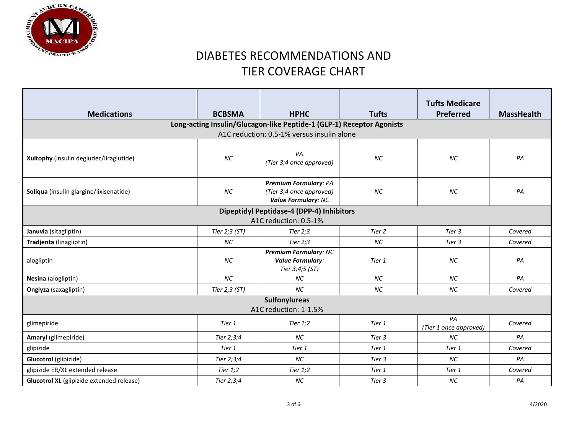

|                                                  |                                           |                                                                                 |              | <b>Tufts Medicare</b>        |                   |  |  |  |
|--------------------------------------------------|-------------------------------------------|---------------------------------------------------------------------------------|--------------|------------------------------|-------------------|--|--|--|
| <b>Medications</b>                               | <b>BCBSMA</b>                             | <b>HPHC</b>                                                                     | <b>Tufts</b> | <b>Preferred</b>             | <b>MassHealth</b> |  |  |  |
|                                                  |                                           | Long-acting Insulin/Glucagon-like Peptide-1 (GLP-1) Receptor Agonists           |              |                              |                   |  |  |  |
|                                                  |                                           | A1C reduction: 0.5-1% versus insulin alone                                      |              |                              |                   |  |  |  |
| Xultophy (insulin degludec/liraglutide)          | <b>NC</b>                                 | PA<br>(Tier 3;4 once approved)                                                  | <b>NC</b>    | <b>NC</b>                    | PA                |  |  |  |
| Soliqua (insulin glargine/lixisenatide)          | <b>NC</b>                                 | Premium Formulary: PA<br>(Tier 3;4 once approved)<br><b>Value Formulary: NC</b> | <b>NC</b>    | <b>NC</b>                    | PA                |  |  |  |
|                                                  | Dipeptidyl Peptidase-4 (DPP-4) Inhibitors |                                                                                 |              |                              |                   |  |  |  |
| A1C reduction: 0.5-1%                            |                                           |                                                                                 |              |                              |                   |  |  |  |
| Januvia (sitagliptin)                            | Tier 2;3 (ST)                             | Tier $2,3$                                                                      | Tier 2       | Tier 3                       | Covered           |  |  |  |
| Tradjenta (linagliptin)                          | <b>NC</b>                                 | Tier $2:3$                                                                      | $NC$         | Tier 3                       | Covered           |  |  |  |
| alogliptin                                       | NC                                        | <b>Premium Formulary: NC</b><br><b>Value Formulary:</b><br>Tier 3;4;5 (ST)      | Tier 1       | <b>NC</b>                    | PA                |  |  |  |
| Nesina (alogliptin)                              | <b>NC</b>                                 | <b>NC</b>                                                                       | <b>NC</b>    | <b>NC</b>                    | PA                |  |  |  |
| Onglyza (saxagliptin)                            | Tier 2;3 (ST)                             | <b>NC</b>                                                                       | <b>NC</b>    | NC                           | Covered           |  |  |  |
| <b>Sulfonylureas</b><br>A1C reduction: 1-1.5%    |                                           |                                                                                 |              |                              |                   |  |  |  |
| glimepiride                                      | Tier 1                                    | Tier $1,2$                                                                      | Tier 1       | PA<br>(Tier 1 once approved) | Covered           |  |  |  |
| Amaryl (glimepiride)                             | Tier 2;3;4                                | <b>NC</b>                                                                       | Tier 3       | <b>NC</b>                    | PA                |  |  |  |
| glipizide                                        | Tier 1                                    | Tier 1                                                                          | Tier 1       | Tier 1                       | Covered           |  |  |  |
| Glucotrol (glipizide)                            | Tier 2;3;4                                | NC                                                                              | Tier 3       | <b>NC</b>                    | PA                |  |  |  |
| glipizide ER/XL extended release                 | Tier $1,2$                                | Tier $1,2$                                                                      | Tier 1       | Tier 1                       | Covered           |  |  |  |
| <b>Glucotrol XL</b> (glipizide extended release) | Tier 2;3;4                                | <b>NC</b>                                                                       | Tier 3       | NC                           | PA                |  |  |  |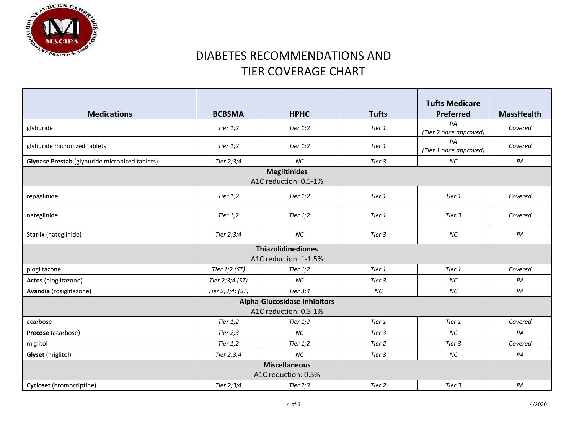

| <b>Medications</b>                             | <b>BCBSMA</b>                                | <b>HPHC</b> | <b>Tufts</b> | <b>Tufts Medicare</b><br><b>Preferred</b> | <b>MassHealth</b> |  |  |
|------------------------------------------------|----------------------------------------------|-------------|--------------|-------------------------------------------|-------------------|--|--|
| glyburide                                      | Tier $1,2$                                   | Tier $1,2$  | Tier 1       | PA<br>(Tier 2 once approved)              | Covered           |  |  |
| glyburide micronized tablets                   | Tier $1,2$                                   | Tier $1,2$  | Tier 1       | PA<br>(Tier 1 once approved)              | Covered           |  |  |
| Glynase Prestab (glyburide micronized tablets) | Tier 2;3;4                                   | <b>NC</b>   | Tier 3       | NC                                        | PA                |  |  |
|                                                | <b>Meglitinides</b><br>A1C reduction: 0.5-1% |             |              |                                           |                   |  |  |
| repaglinide                                    | Tier 1;2                                     | Tier $1,2$  | Tier 1       | Tier 1                                    | Covered           |  |  |
| nateglinide                                    | Tier $1,2$                                   | Tier $1,2$  | Tier 1       | Tier 3                                    | Covered           |  |  |
| <b>Starlix</b> (nateglinide)                   | Tier 2;3;4                                   | <b>NC</b>   | Tier 3       | <b>NC</b>                                 | PA                |  |  |
| <b>Thiazolidinediones</b>                      |                                              |             |              |                                           |                   |  |  |
| A1C reduction: 1-1.5%                          |                                              |             |              |                                           |                   |  |  |
| pioglitazone                                   | Tier 1;2 (ST)                                | Tier $1,2$  | Tier 1       | Tier 1                                    | Covered           |  |  |
| Actos (pioglitazone)                           | Tier 2;3;4 (ST)                              | <b>NC</b>   | Tier 3       | <b>NC</b>                                 | PA                |  |  |
| Avandia (rosiglitazone)                        | Tier 2;3;4; (ST)                             | Tier $3;4$  | <b>NC</b>    | NC                                        | PA                |  |  |
| <b>Alpha-Glucosidase Inhibitors</b>            |                                              |             |              |                                           |                   |  |  |
| A1C reduction: 0.5-1%                          |                                              |             |              |                                           |                   |  |  |
| acarbose                                       | Tier $1,2$                                   | Tier $1,2$  | Tier 1       | Tier 1                                    | Covered           |  |  |
| Precose (acarbose)                             | Tier $2;3$                                   | <b>NC</b>   | Tier 3       | <b>NC</b>                                 | PA                |  |  |
| miglitol                                       | Tier $1,2$                                   | Tier $1,2$  | Tier 2       | Tier 3                                    | Covered           |  |  |
| Glyset (miglitol)                              | Tier 2;3;4                                   | <b>NC</b>   | Tier 3       | NC                                        | PA                |  |  |
| <b>Miscellaneous</b>                           |                                              |             |              |                                           |                   |  |  |
| A1C reduction: 0.5%                            |                                              |             |              |                                           |                   |  |  |
| Cycloset (bromocriptine)                       | Tier 2;3;4                                   | Tier $2;3$  | Tier 2       | Tier 3                                    | PA                |  |  |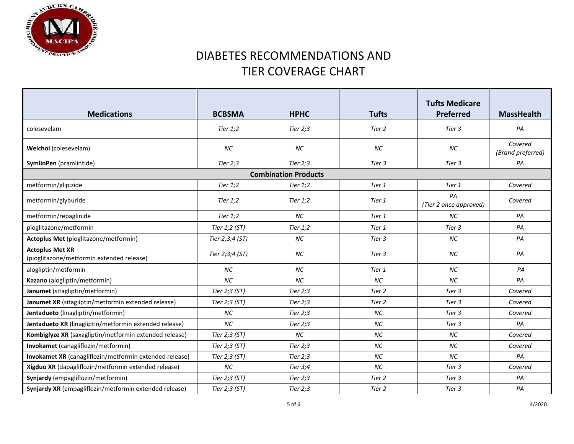

| <b>Medications</b>                                                  | <b>BCBSMA</b>   | <b>HPHC</b>                 | <b>Tufts</b> | <b>Tufts Medicare</b><br><b>Preferred</b> | <b>MassHealth</b>            |
|---------------------------------------------------------------------|-----------------|-----------------------------|--------------|-------------------------------------------|------------------------------|
| colesevelam                                                         | Tier $1,2$      | Tier $2;3$                  | Tier 2       | Tier 3                                    | PA                           |
| <b>Welchol</b> (colesevelam)                                        | NC              | NC                          | NC           | <b>NC</b>                                 | Covered<br>(Brand preferred) |
| SymlinPen (pramlintide)                                             | Tier $2;3$      | Tier $2:3$                  | Tier 3       | Tier 3                                    | PA                           |
|                                                                     |                 | <b>Combination Products</b> |              |                                           |                              |
| metformin/glipizide                                                 | Tier $1,2$      | Tier $1,2$                  | Tier 1       | Tier 1                                    | Covered                      |
| metformin/glyburide                                                 | <b>Tier 1;2</b> | Tier $1,2$                  | Tier 1       | PA<br>(Tier 2 once approved)              | Covered                      |
| metformin/repaglinide                                               | <b>Tier 1;2</b> | <b>NC</b>                   | Tier 1       | <b>NC</b>                                 | PA                           |
| pioglitazone/metformin                                              | Tier 1;2 (ST)   | Tier $1,2$                  | Tier 1       | Tier 3                                    | PA                           |
| Actoplus Met (pioglitazone/metformin)                               | Tier 2;3;4 (ST) | <b>NC</b>                   | Tier 3       | <b>NC</b>                                 | PA                           |
| <b>Actoplus Met XR</b><br>(pioglitazone/metformin extended release) | Tier 2;3;4 (ST) | NC                          | Tier 3       | <b>NC</b>                                 | PA                           |
| alogliptin/metformin                                                | <b>NC</b>       | <b>NC</b>                   | Tier 1       | <b>NC</b>                                 | PA                           |
| Kazano (alogliptin/metformin)                                       | <b>NC</b>       | <b>NC</b>                   | <b>NC</b>    | <b>NC</b>                                 | PA                           |
| Janumet (sitagliptin/metformin)                                     | Tier 2;3 (ST)   | Tier $2;3$                  | Tier 2       | Tier 3                                    | Covered                      |
| Janumet XR (sitagliptin/metformin extended release)                 | Tier 2;3 (ST)   | Tier $2;3$                  | Tier 2       | Tier 3                                    | Covered                      |
| Jentadueto (linagliptin/metformin)                                  | <b>NC</b>       | Tier $2:3$                  | <b>NC</b>    | Tier 3                                    | Covered                      |
| Jentadueto XR (linagliptin/metformin extended release)              | <b>NC</b>       | Tier $2;3$                  | <b>NC</b>    | Tier 3                                    | PA                           |
| Kombiglyze XR (saxagliptin/metformin extended release)              | Tier 2;3 (ST)   | <b>NC</b>                   | <b>NC</b>    | <b>NC</b>                                 | Covered                      |
| Invokamet (canagliflozin/metformin)                                 | Tier 2;3 (ST)   | Tier $2;3$                  | <b>NC</b>    | <b>NC</b>                                 | Covered                      |
| Invokamet XR (canagliflozin/metformin extended release)             | Tier 2;3 (ST)   | Tier $2;3$                  | <b>NC</b>    | <b>NC</b>                                 | PA                           |
| Xigduo XR (dapagliflozin/metformin extended release)                | <b>NC</b>       | Tier 3;4                    | <b>NC</b>    | Tier 3                                    | Covered                      |
| Synjardy (empagliflozin/metformin)                                  | Tier 2;3 (ST)   | Tier $2:3$                  | Tier 2       | Tier 3                                    | PA                           |
| Synjardy XR (empagliflozin/metformin extended release)              | Tier 2;3 (ST)   | Tier $2;3$                  | Tier 2       | Tier 3                                    | PA                           |